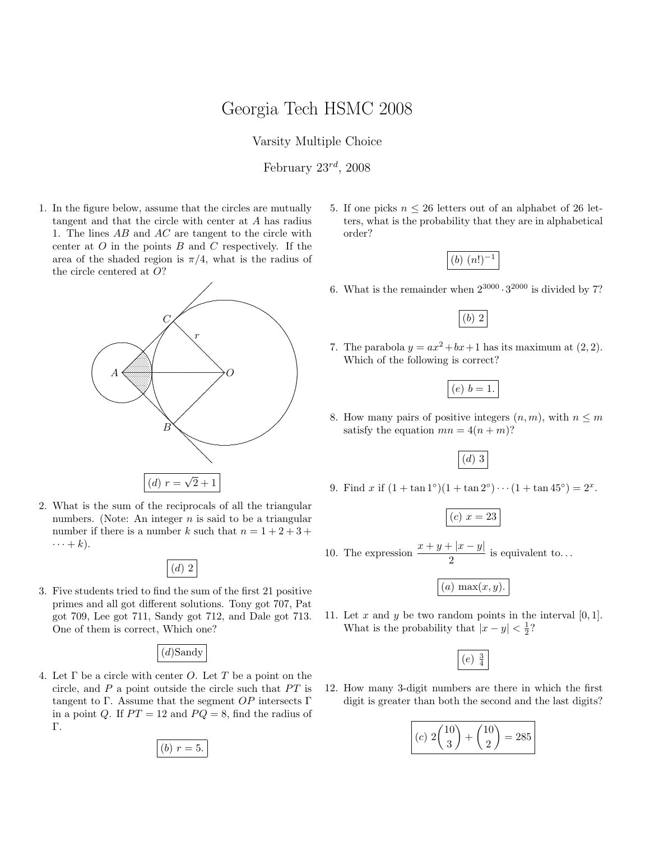## Georgia Tech HSMC 2008

Varsity Multiple Choice

February  $23^{rd}$ ,  $2008$ 

1. In the figure below, assume that the circles are mutually tangent and that the circle with center at A has radius 1. The lines  $AB$  and  $AC$  are tangent to the circle with center at  $O$  in the points  $B$  and  $C$  respectively. If the area of the shaded region is  $\pi/4$ , what is the radius of the circle centered at O?



2. What is the sum of the reciprocals of all the triangular numbers. (Note: An integer  $n$  is said to be a triangular number if there is a number k such that  $n = 1 + 2 + 3 +$  $\cdots + k$ ).



3. Five students tried to find the sum of the first 21 positive primes and all got different solutions. Tony got 707, Pat got 709, Lee got 711, Sandy got 712, and Dale got 713. One of them is correct, Which one?

(d)Sandy

4. Let  $\Gamma$  be a circle with center O. Let  $T$  be a point on the circle, and  $P$  a point outside the circle such that  $PT$  is tangent to Γ. Assume that the segment  $OP$  intersects Γ in a point Q. If  $PT = 12$  and  $PQ = 8$ , find the radius of Γ.

(b) 
$$
r = 5
$$
.

5. If one picks  $n \leq 26$  letters out of an alphabet of 26 letters, what is the probability that they are in alphabetical order?



6. What is the remainder when  $2^{3000} \cdot 3^{2000}$  is divided by 7?

(b) 2

7. The parabola  $y = ax^2 + bx + 1$  has its maximum at  $(2, 2)$ . Which of the following is correct?

|--|--|

8. How many pairs of positive integers  $(n, m)$ , with  $n \leq m$ satisfy the equation  $mn = 4(n + m)$ ?

(d) 3

9. Find x if  $(1 + \tan 1^\circ)(1 + \tan 2^\circ) \cdots (1 + \tan 45^\circ) = 2^x$ .

$$
(c) \; x = 23
$$

10. The expression  $\frac{x+y+|x-y|}{2}$  is equivalent to...

 $\overline{(a) \max(x, y)}$ .

11. Let x and y be two random points in the interval  $[0, 1]$ . What is the probability that  $|x-y| < \frac{1}{2}$ ?

$$
(e) \ \tfrac{3}{4}
$$

12. How many 3-digit numbers are there in which the first digit is greater than both the second and the last digits?

$$
(c) 2\binom{10}{3} + \binom{10}{2} = 285
$$